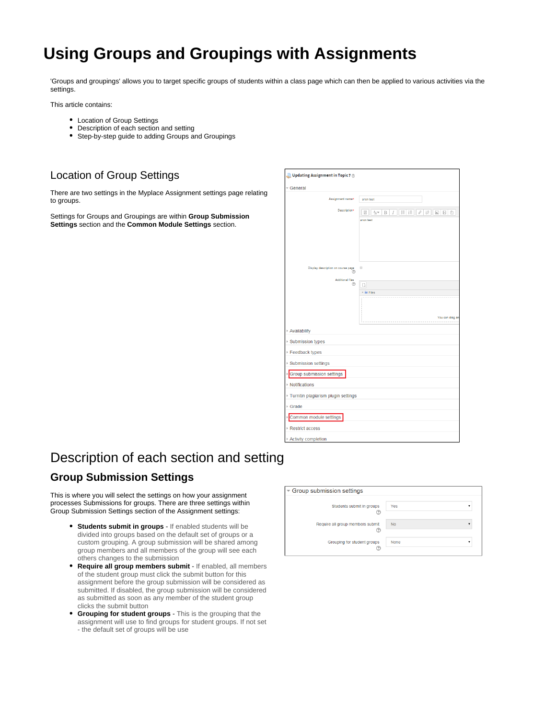# <span id="page-0-0"></span>**Using Groups and Groupings with Assignments**

'Groups and groupings' allows you to target specific groups of students within a class page which can then be applied to various activities via the settings.

This article contains:

- Location of Group Settings
- Description of each section and setting
- Step-by-step guide to adding Groups and Groupings

### Location of Group Settings

There are two settings in the Myplace Assignment settings page relating to groups.

Settings for Groups and Groupings are within **Group Submission Settings** section and the **Common Module Settings** section.

| Updating Assignment in Topic 7 $\circledcirc$ |                                                                     |
|-----------------------------------------------|---------------------------------------------------------------------|
| - General                                     |                                                                     |
| Assignment name*                              | anon test                                                           |
| Description*                                  | ₩<br>$A_A \blacktriangleright$<br>B<br>E<br>這<br>8<br>88<br>国国<br>₿ |
|                                               | anon test                                                           |
| Display description on course page<br>℗       | 0                                                                   |
| <b>Additional files</b><br>$\circledR$        |                                                                     |
|                                               | $\Box$<br>- Elli Files                                              |
|                                               | You can drag an                                                     |
| Availability                                  |                                                                     |
| Submission types                              |                                                                     |
| ▶ Feedback types                              |                                                                     |
| Submission settings                           |                                                                     |
| Group submission settings                     |                                                                     |
| ▶ Notifications                               |                                                                     |
| > Turnitin plagiarism plugin settings         |                                                                     |
| ▶ Grade                                       |                                                                     |
| Common module settings                        |                                                                     |
| Restrict access                               |                                                                     |
| Activity completion                           |                                                                     |

# Description of each section and setting

### **Group Submission Settings**

This is where you will select the settings on how your assignment processes Submissions for groups. There are three settings within Group Submission Settings section of the Assignment settings:

- **Students submit in groups** If enabled students will be divided into groups based on the default set of groups or a custom grouping. A group submission will be shared among group members and all members of the group will see each others changes to the submission
- **Require all group members submit** If enabled, all members of the student group must click the submit button for this assignment before the group submission will be considered as submitted. If disabled, the group submission will be considered as submitted as soon as any member of the student group clicks the submit button
- **Grouping for student groups** This is the grouping that the assignment will use to find groups for student groups. If not set - the default set of groups will be use

| Group submission settings             |             |  |  |
|---------------------------------------|-------------|--|--|
| Students submit in groups<br>Œ        | Yes<br>▼    |  |  |
| Require all group members submit<br>Θ | <b>No</b>   |  |  |
| Grouping for student groups<br>Œ      | <b>None</b> |  |  |

⋒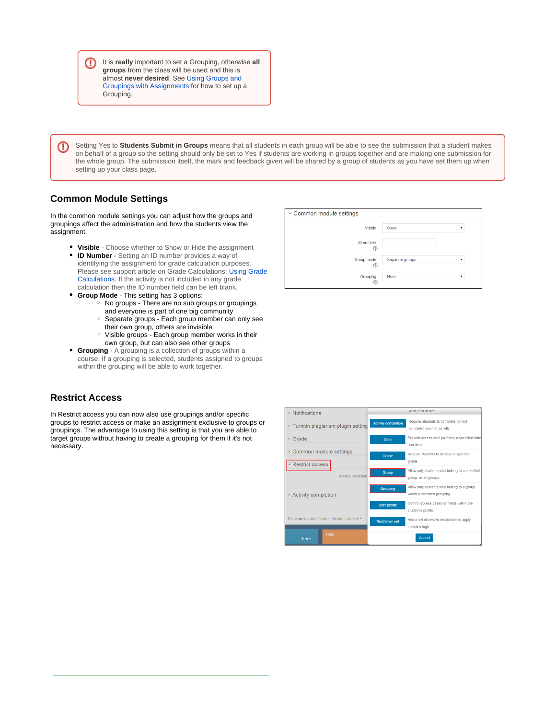It is **really** important to set a Grouping, otherwise **all groups** from the class will be used and this is almost **never desired**. See [Using Groups and](#page-0-0)  [Groupings with Assignments](#page-0-0) for how to set up a Grouping.

Setting Yes to **Students Submit in Groups** means that all students in each group will be able to see the submission that a student makes on behalf of a group so the setting should only be set to Yes if students are working in groups together and are making one submission for the whole group. The submission itself, the mark and feedback given will be shared by a group of students as you have set them up when setting up your class page.

Common module settings

#### **Common Module Settings**

⊕

⊕

In the common module settings you can adjust how the groups and groupings affect the administration and how the students view the assignment.

- **Visible** Choose whether to Show or Hide the assignment
- **ID Number** Setting an ID number provides a way of identifying the assignment for grade calculation purposes. Please see support article on Grade Calculations: Using Grade [Calculations](https://wiki.lte.strath.ac.uk/display/MS/Using+Grade+Calculations). If the activity is not included in any grade calculation then the ID number field can be left blank.
	- **Group Mode** This setting has 3 options:  $\circ$  No groups - There are no sub groups or groupings
		- and everyone is part of one big community o Separate groups - Each group member can only see
		- their own group, others are invisible  $\circ$  Visible groups - Each group member works in their own group, but can also see other groups
- **Grouping** A grouping is a collection of groups within a course. If a grouping is selected, students assigned to groups within the grouping will be able to work together.

## ID number Group mode Separate groups Grouping None

Show

 $\ddot{\phantom{0}}$ 

Visible

#### **Restrict Access**

In Restrict access you can now also use groupings and/or specific groups to restrict access or make an assignment exclusive to groups or groupings. The advantage to using this setting is that you are able to target groups without having to create a grouping for them if it's not necessary.



⊘